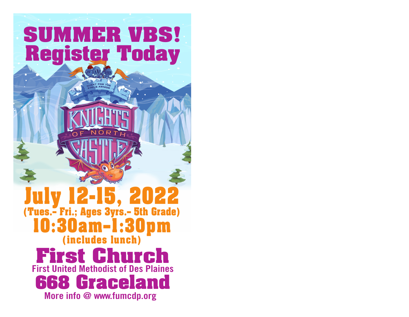